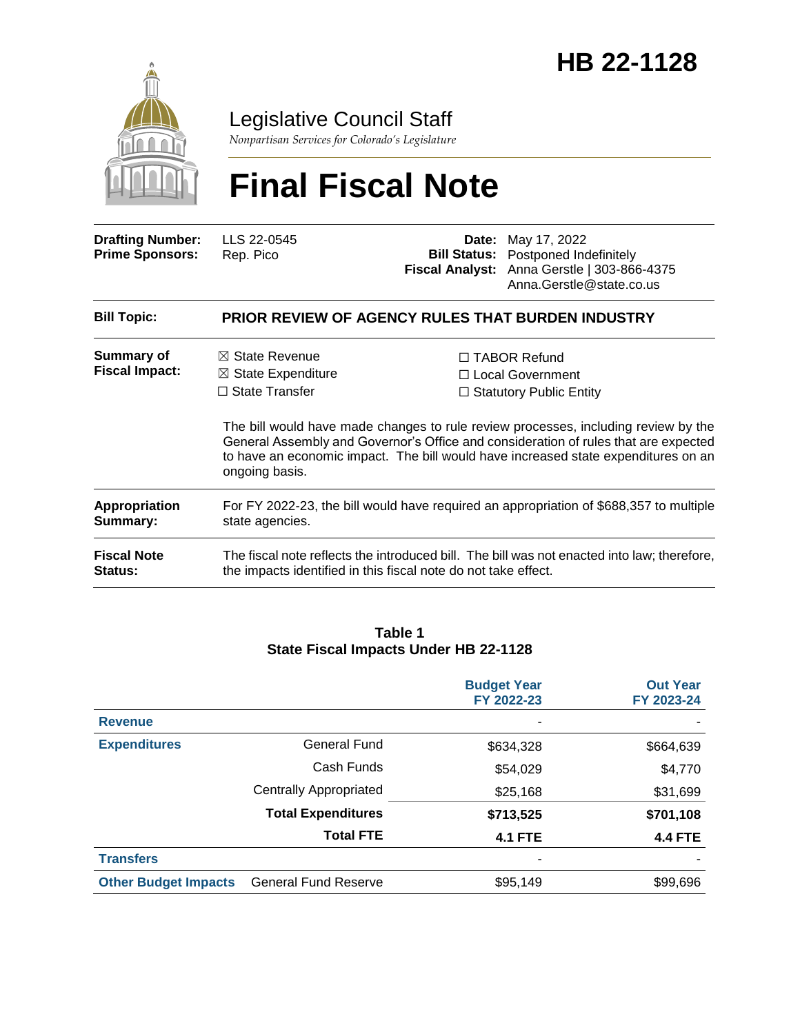

# Legislative Council Staff

*Nonpartisan Services for Colorado's Legislature*

# **Final Fiscal Note**

| <b>Drafting Number:</b><br><b>Prime Sponsors:</b> | LLS 22-0545<br>Rep. Pico                                                                                                                                      | <b>Bill Status:</b><br><b>Fiscal Analyst:</b> | <b>Date:</b> May 17, 2022<br>Postponed Indefinitely<br>Anna Gerstle   303-866-4375<br>Anna.Gerstle@state.co.us                                                                                                                                                                                                                                 |  |  |  |  |
|---------------------------------------------------|---------------------------------------------------------------------------------------------------------------------------------------------------------------|-----------------------------------------------|------------------------------------------------------------------------------------------------------------------------------------------------------------------------------------------------------------------------------------------------------------------------------------------------------------------------------------------------|--|--|--|--|
| <b>Bill Topic:</b>                                | PRIOR REVIEW OF AGENCY RULES THAT BURDEN INDUSTRY                                                                                                             |                                               |                                                                                                                                                                                                                                                                                                                                                |  |  |  |  |
| Summary of<br><b>Fiscal Impact:</b>               | $\boxtimes$ State Revenue<br>$\boxtimes$ State Expenditure<br>$\Box$ State Transfer<br>ongoing basis.                                                         |                                               | □ TABOR Refund<br>$\Box$ Local Government<br>$\Box$ Statutory Public Entity<br>The bill would have made changes to rule review processes, including review by the<br>General Assembly and Governor's Office and consideration of rules that are expected<br>to have an economic impact. The bill would have increased state expenditures on an |  |  |  |  |
| <b>Appropriation</b><br>Summary:                  | For FY 2022-23, the bill would have required an appropriation of \$688,357 to multiple<br>state agencies.                                                     |                                               |                                                                                                                                                                                                                                                                                                                                                |  |  |  |  |
| <b>Fiscal Note</b><br><b>Status:</b>              | The fiscal note reflects the introduced bill. The bill was not enacted into law; therefore,<br>the impacts identified in this fiscal note do not take effect. |                                               |                                                                                                                                                                                                                                                                                                                                                |  |  |  |  |

#### **Table 1 State Fiscal Impacts Under HB 22-1128**

|                             |                               | <b>Budget Year</b><br>FY 2022-23 | <b>Out Year</b><br>FY 2023-24 |
|-----------------------------|-------------------------------|----------------------------------|-------------------------------|
| <b>Revenue</b>              |                               |                                  |                               |
| <b>Expenditures</b>         | <b>General Fund</b>           | \$634,328                        | \$664,639                     |
|                             | Cash Funds                    | \$54,029                         | \$4,770                       |
|                             | <b>Centrally Appropriated</b> | \$25,168                         | \$31,699                      |
|                             | <b>Total Expenditures</b>     | \$713,525                        | \$701,108                     |
|                             | <b>Total FTE</b>              | <b>4.1 FTE</b>                   | <b>4.4 FTE</b>                |
| <b>Transfers</b>            |                               | -                                |                               |
| <b>Other Budget Impacts</b> | <b>General Fund Reserve</b>   | \$95,149                         | \$99,696                      |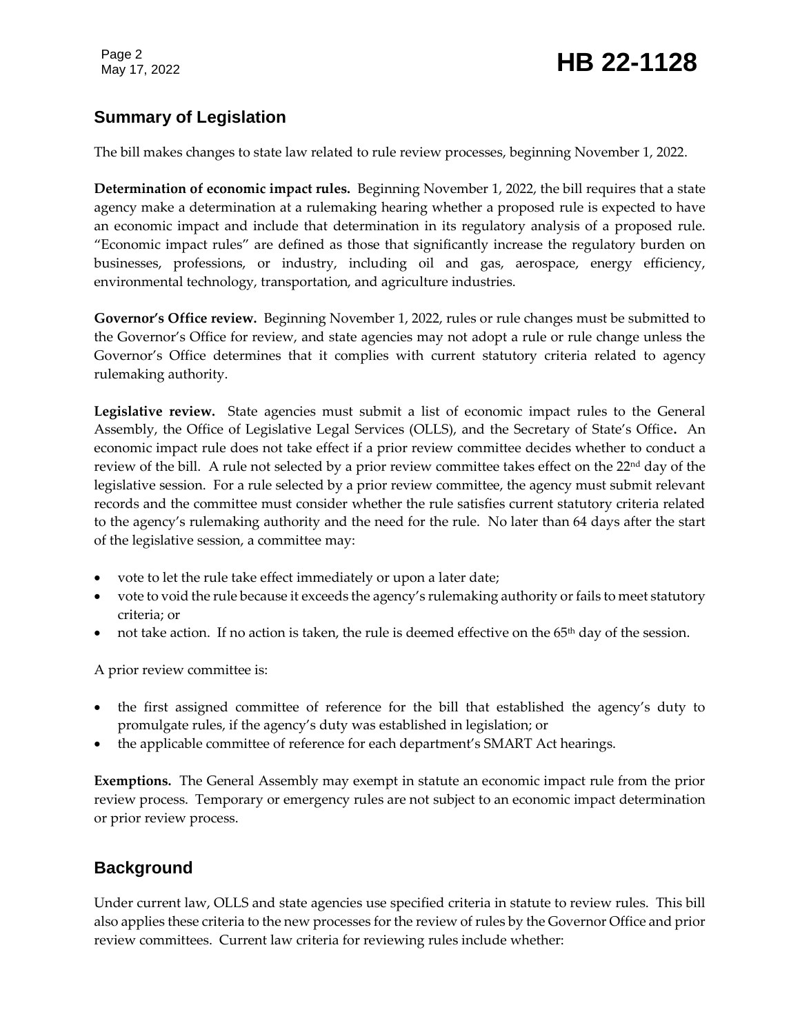# Page 2<br>May 17, 2022 **HB 22-1128**

# **Summary of Legislation**

The bill makes changes to state law related to rule review processes, beginning November 1, 2022.

**Determination of economic impact rules.** Beginning November 1, 2022, the bill requires that a state agency make a determination at a rulemaking hearing whether a proposed rule is expected to have an economic impact and include that determination in its regulatory analysis of a proposed rule. "Economic impact rules" are defined as those that significantly increase the regulatory burden on businesses, professions, or industry, including oil and gas, aerospace, energy efficiency, environmental technology, transportation, and agriculture industries.

**Governor's Office review.** Beginning November 1, 2022, rules or rule changes must be submitted to the Governor's Office for review, and state agencies may not adopt a rule or rule change unless the Governor's Office determines that it complies with current statutory criteria related to agency rulemaking authority.

**Legislative review.** State agencies must submit a list of economic impact rules to the General Assembly, the Office of Legislative Legal Services (OLLS), and the Secretary of State's Office**.** An economic impact rule does not take effect if a prior review committee decides whether to conduct a review of the bill. A rule not selected by a prior review committee takes effect on the  $22<sup>nd</sup>$  day of the legislative session. For a rule selected by a prior review committee, the agency must submit relevant records and the committee must consider whether the rule satisfies current statutory criteria related to the agency's rulemaking authority and the need for the rule. No later than 64 days after the start of the legislative session, a committee may:

- vote to let the rule take effect immediately or upon a later date;
- vote to void the rule because it exceeds the agency's rulemaking authority or fails to meet statutory criteria; or
- not take action. If no action is taken, the rule is deemed effective on the 65<sup>th</sup> day of the session.

A prior review committee is:

- the first assigned committee of reference for the bill that established the agency's duty to promulgate rules, if the agency's duty was established in legislation; or
- the applicable committee of reference for each department's SMART Act hearings.

**Exemptions.** The General Assembly may exempt in statute an economic impact rule from the prior review process. Temporary or emergency rules are not subject to an economic impact determination or prior review process.

# **Background**

Under current law, OLLS and state agencies use specified criteria in statute to review rules. This bill also applies these criteria to the new processes for the review of rules by the Governor Office and prior review committees. Current law criteria for reviewing rules include whether: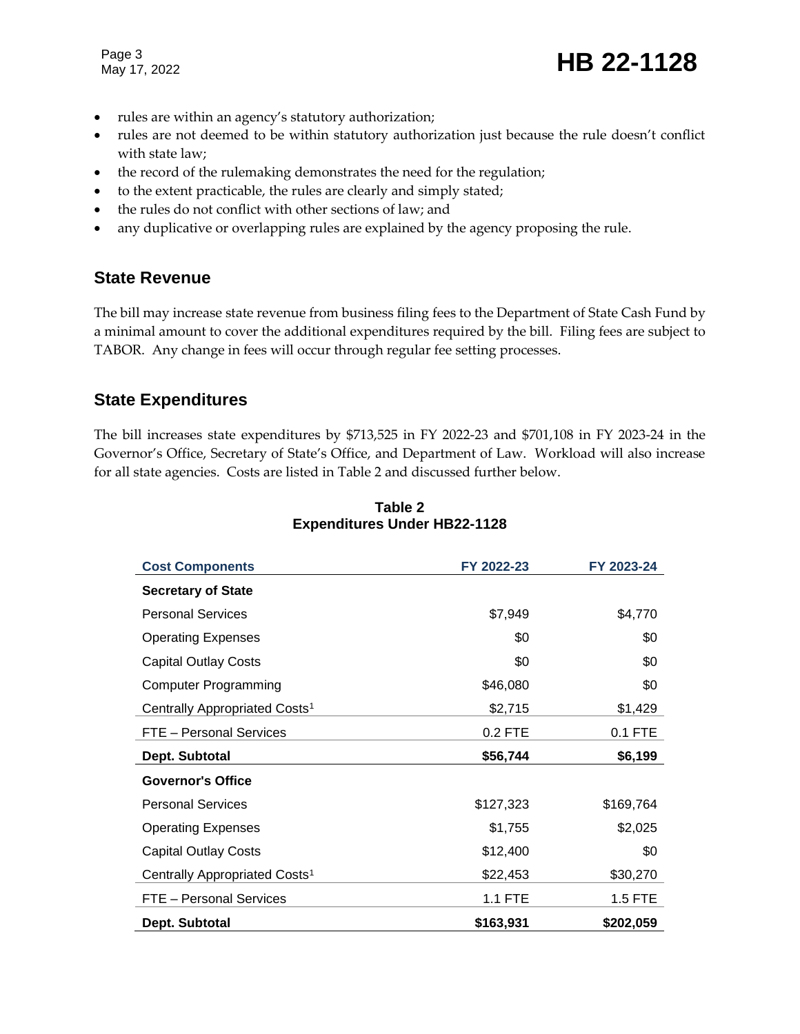Page 3

Page 3<br>May 17, 2022 **HB 22-1128** 

- rules are within an agency's statutory authorization;
- rules are not deemed to be within statutory authorization just because the rule doesn't conflict with state law;
- the record of the rulemaking demonstrates the need for the regulation;
- to the extent practicable, the rules are clearly and simply stated;
- the rules do not conflict with other sections of law; and
- any duplicative or overlapping rules are explained by the agency proposing the rule.

#### **State Revenue**

The bill may increase state revenue from business filing fees to the Department of State Cash Fund by a minimal amount to cover the additional expenditures required by the bill. Filing fees are subject to TABOR. Any change in fees will occur through regular fee setting processes.

#### **State Expenditures**

The bill increases state expenditures by \$713,525 in FY 2022-23 and \$701,108 in FY 2023-24 in the Governor's Office, Secretary of State's Office, and Department of Law. Workload will also increase for all state agencies. Costs are listed in Table 2 and discussed further below.

| <b>Cost Components</b>                    | FY 2022-23 | FY 2023-24 |
|-------------------------------------------|------------|------------|
| <b>Secretary of State</b>                 |            |            |
| <b>Personal Services</b>                  | \$7,949    | \$4,770    |
| <b>Operating Expenses</b>                 | \$0        | \$0        |
| <b>Capital Outlay Costs</b>               | \$0        | \$0        |
| <b>Computer Programming</b>               | \$46,080   | \$0        |
| Centrally Appropriated Costs <sup>1</sup> | \$2,715    | \$1,429    |
| FTE - Personal Services                   | 0.2 FTE    | 0.1 FTE    |
|                                           |            |            |
| Dept. Subtotal                            | \$56,744   | \$6,199    |
| <b>Governor's Office</b>                  |            |            |
| <b>Personal Services</b>                  | \$127,323  | \$169,764  |
| <b>Operating Expenses</b>                 | \$1,755    | \$2,025    |
| <b>Capital Outlay Costs</b>               | \$12,400   | \$0        |
| Centrally Appropriated Costs <sup>1</sup> | \$22,453   | \$30,270   |
| <b>FTE - Personal Services</b>            | 1.1 FTE    | 1.5 FTE    |

#### **Table 2 Expenditures Under HB22-1128**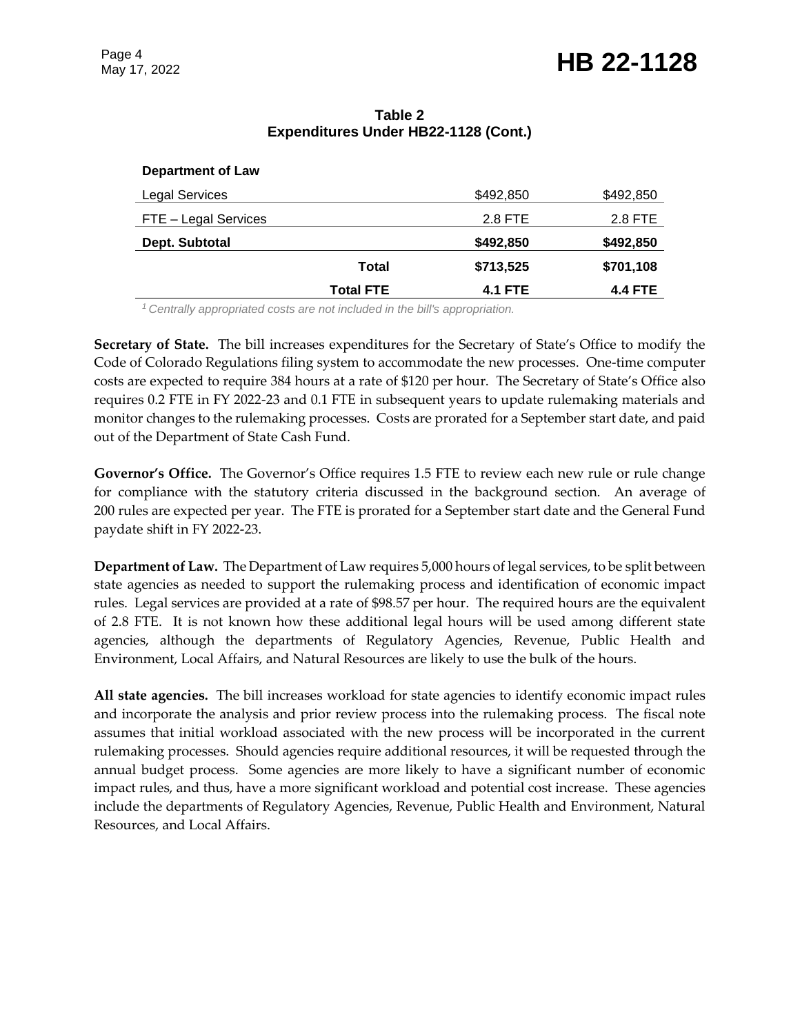#### **Table 2 Expenditures Under HB22-1128 (Cont.)**

|                          | <b>Total FTE</b> | <b>4.1 FTE</b> | <b>4.4 FTE</b> |
|--------------------------|------------------|----------------|----------------|
|                          | Total            | \$713,525      | \$701,108      |
| Dept. Subtotal           |                  | \$492,850      | \$492,850      |
| FTE - Legal Services     |                  | 2.8 FTE        | 2.8 FTE        |
| <b>Legal Services</b>    |                  | \$492,850      | \$492,850      |
| <b>Department of Law</b> |                  |                |                |

*<sup>1</sup>Centrally appropriated costs are not included in the bill's appropriation.*

**Secretary of State.** The bill increases expenditures for the Secretary of State's Office to modify the Code of Colorado Regulations filing system to accommodate the new processes. One-time computer costs are expected to require 384 hours at a rate of \$120 per hour. The Secretary of State's Office also requires 0.2 FTE in FY 2022-23 and 0.1 FTE in subsequent years to update rulemaking materials and monitor changes to the rulemaking processes. Costs are prorated for a September start date, and paid out of the Department of State Cash Fund.

**Governor's Office.** The Governor's Office requires 1.5 FTE to review each new rule or rule change for compliance with the statutory criteria discussed in the background section. An average of 200 rules are expected per year. The FTE is prorated for a September start date and the General Fund paydate shift in FY 2022-23.

**Department of Law.** The Department of Law requires 5,000 hours of legal services, to be split between state agencies as needed to support the rulemaking process and identification of economic impact rules. Legal services are provided at a rate of \$98.57 per hour. The required hours are the equivalent of 2.8 FTE. It is not known how these additional legal hours will be used among different state agencies, although the departments of Regulatory Agencies, Revenue, Public Health and Environment, Local Affairs, and Natural Resources are likely to use the bulk of the hours.

**All state agencies.** The bill increases workload for state agencies to identify economic impact rules and incorporate the analysis and prior review process into the rulemaking process. The fiscal note assumes that initial workload associated with the new process will be incorporated in the current rulemaking processes. Should agencies require additional resources, it will be requested through the annual budget process. Some agencies are more likely to have a significant number of economic impact rules, and thus, have a more significant workload and potential cost increase. These agencies include the departments of Regulatory Agencies, Revenue, Public Health and Environment, Natural Resources, and Local Affairs.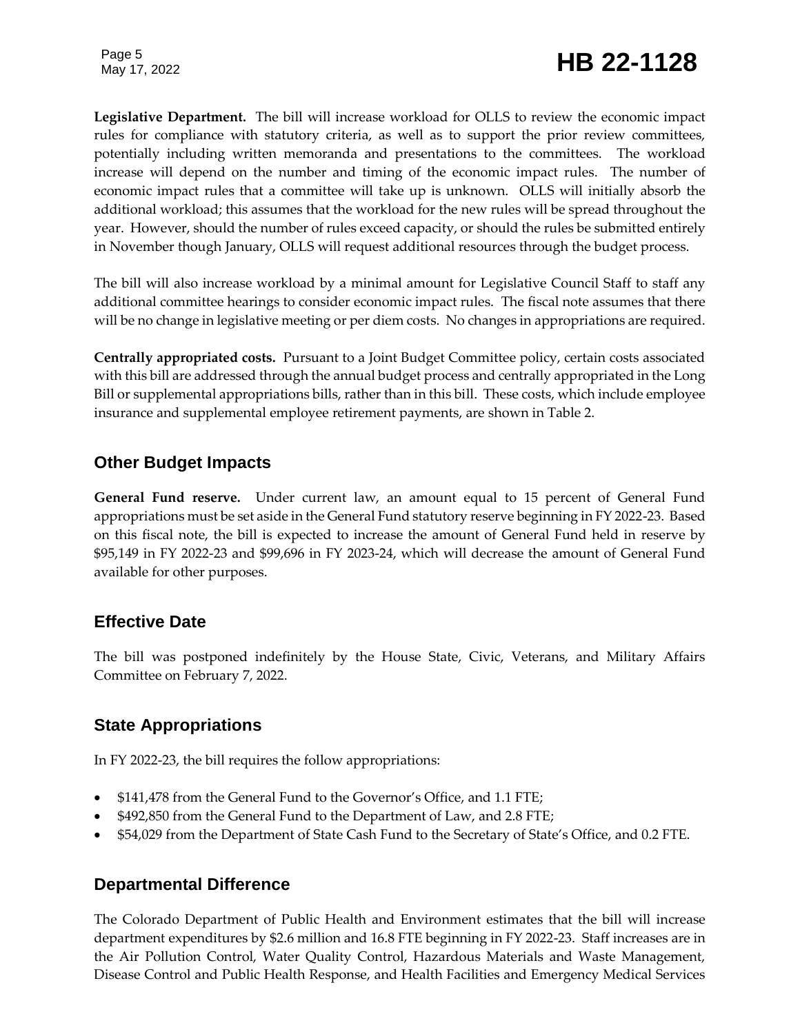**Legislative Department.** The bill will increase workload for OLLS to review the economic impact rules for compliance with statutory criteria, as well as to support the prior review committees, potentially including written memoranda and presentations to the committees. The workload increase will depend on the number and timing of the economic impact rules. The number of economic impact rules that a committee will take up is unknown. OLLS will initially absorb the additional workload; this assumes that the workload for the new rules will be spread throughout the year. However, should the number of rules exceed capacity, or should the rules be submitted entirely in November though January, OLLS will request additional resources through the budget process.

The bill will also increase workload by a minimal amount for Legislative Council Staff to staff any additional committee hearings to consider economic impact rules. The fiscal note assumes that there will be no change in legislative meeting or per diem costs. No changes in appropriations are required.

**Centrally appropriated costs.** Pursuant to a Joint Budget Committee policy, certain costs associated with this bill are addressed through the annual budget process and centrally appropriated in the Long Bill or supplemental appropriations bills, rather than in this bill. These costs, which include employee insurance and supplemental employee retirement payments, are shown in Table 2.

## **Other Budget Impacts**

**General Fund reserve.** Under current law, an amount equal to 15 percent of General Fund appropriations must be set aside in the General Fund statutory reserve beginning in FY 2022-23. Based on this fiscal note, the bill is expected to increase the amount of General Fund held in reserve by \$95,149 in FY 2022-23 and \$99,696 in FY 2023-24, which will decrease the amount of General Fund available for other purposes.

### **Effective Date**

The bill was postponed indefinitely by the House State, Civic, Veterans, and Military Affairs Committee on February 7, 2022.

### **State Appropriations**

In FY 2022-23, the bill requires the follow appropriations:

- \$141,478 from the General Fund to the Governor's Office, and 1.1 FTE;
- \$492,850 from the General Fund to the Department of Law, and 2.8 FTE;
- \$54,029 from the Department of State Cash Fund to the Secretary of State's Office, and 0.2 FTE.

#### **Departmental Difference**

The Colorado Department of Public Health and Environment estimates that the bill will increase department expenditures by \$2.6 million and 16.8 FTE beginning in FY 2022-23. Staff increases are in the Air Pollution Control, Water Quality Control, Hazardous Materials and Waste Management, Disease Control and Public Health Response, and Health Facilities and Emergency Medical Services